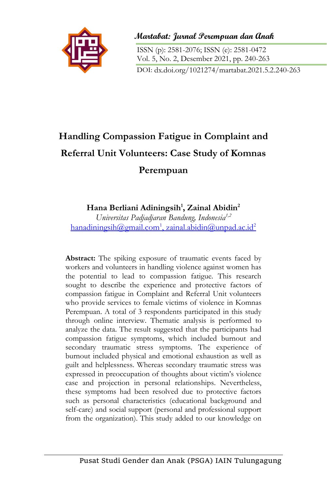

**Martabat: Jurnal Perempuan dan Anak**

ISSN (p): 2581-2076; ISSN (e): 2581-0472 Vol. 5, No. 2, Desember 2021, pp. 240-263 DOI: dx.doi.org/1021274/martabat.2021.5.2.240-263

# **Handling Compassion Fatigue in Complaint and Referral Unit Volunteers: Case Study of Komnas Perempuan**

## **Hana Berliani Adiningsih<sup>1</sup> , Zainal Abidin<sup>2</sup>**

*Universitas Padjadjaran Bandung, Indonesia1,2* [hanadiningsih@gmail.com](mailto:hanadiningsih@gmail.com)<sup>1</sup>, zainal.abidin@unpad.ac.id<sup>2</sup>

**Abstract:** The spiking exposure of traumatic events faced by workers and volunteers in handling violence against women has the potential to lead to compassion fatigue. This research sought to describe the experience and protective factors of compassion fatigue in Complaint and Referral Unit volunteers who provide services to female victims of violence in Komnas Perempuan. A total of 3 respondents participated in this study through online interview. Thematic analysis is performed to analyze the data. The result suggested that the participants had compassion fatigue symptoms, which included burnout and secondary traumatic stress symptoms. The experience of burnout included physical and emotional exhaustion as well as guilt and helplessness. Whereas secondary traumatic stress was expressed in preoccupation of thoughts about victim's violence case and projection in personal relationships. Nevertheless, these symptoms had been resolved due to protective factors such as personal characteristics (educational background and self-care) and social support (personal and professional support from the organization). This study added to our knowledge on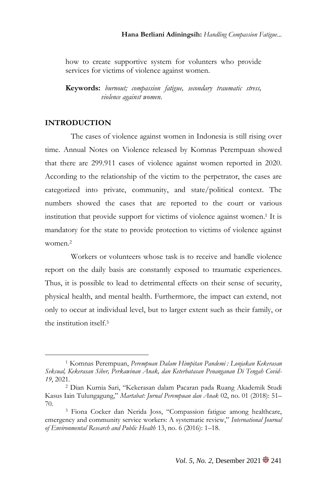how to create supportive system for volunters who provide services for victims of violence against women.

**Keywords:** *burnout; compassion fatigue, secondary traumatic stress, violence against women.*

## **INTRODUCTION**

The cases of violence against women in Indonesia is still rising over time. Annual Notes on Violence released by Komnas Perempuan showed that there are 299.911 cases of violence against women reported in 2020. According to the relationship of the victim to the perpetrator, the cases are categorized into private, community, and state/political context. The numbers showed the cases that are reported to the court or various institution that provide support for victims of violence against women. <sup>1</sup> It is mandatory for the state to provide protection to victims of violence against women. 2

Workers or volunteers whose task is to receive and handle violence report on the daily basis are constantly exposed to traumatic experiences. Thus, it is possible to lead to detrimental effects on their sense of security, physical health, and mental health. Furthermore, the impact can extend, not only to occur at individual level, but to larger extent such as their family, or the institution itself. 3

<sup>1</sup> Komnas Perempuan, *Perempuan Dalam Himpitan Pandemi : Lonjakan Kekerasan Seksual, Kekerasan Siber, Perkawinan Anak, dan Keterbatasan Penanganan Di Tengah Covid-19*, 2021.

<sup>2</sup> Dian Kurnia Sari, "Kekerasan dalam Pacaran pada Ruang Akademik Studi Kasus Iain Tulungagung," *Martabat: Jurnal Perempuan dan Anak* 02, no. 01 (2018): 51– 70.

<sup>3</sup> Fiona Cocker dan Nerida Joss, "Compassion fatigue among healthcare, emergency and community service workers: A systematic review," *International Journal of Environmental Research and Public Health* 13, no. 6 (2016): 1–18.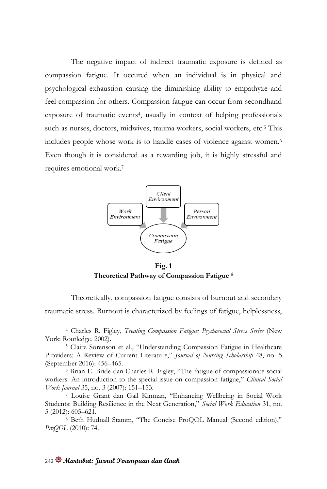The negative impact of indirect traumatic exposure is defined as compassion fatigue. It occured when an individual is in physical and psychological exhaustion causing the diminishing ability to empathyze and feel compassion for others. Compassion fatigue can occur from secondhand exposure of traumatic events<sup>4</sup> , usually in context of helping professionals such as nurses, doctors, midwives, trauma workers, social workers, etc.<sup>5</sup> This includes people whose work is to handle cases of violence against women. 6 Even though it is considered as a rewarding job, it is highly stressful and requires emotional work. 7



**Fig. 1 Theoretical Pathway of Compassion Fatigue** *<sup>8</sup>*

Theoretically, compassion fatigue consists of burnout and secondary traumatic stress. Burnout is characterized by feelings of fatigue, helplessness,

<sup>4</sup> Charles R. Figley, *Treating Compassion Fatigue: Psychosocial Stress Series* (New York: Routledge, 2002).

<sup>5</sup> Claire Sorenson et al., "Understanding Compassion Fatigue in Healthcare Providers: A Review of Current Literature," *Journal of Nursing Scholarship* 48, no. 5 (September 2016): 456–465.

<sup>6</sup> Brian E. Bride dan Charles R. Figley, "The fatigue of compassionate social workers: An introduction to the special issue on compassion fatigue," *Clinical Social Work Journal* 35, no. 3 (2007): 151–153.

<sup>7</sup> Louise Grant dan Gail Kinman, "Enhancing Wellbeing in Social Work Students: Building Resilience in the Next Generation," *Social Work Education* 31, no. 5 (2012): 605–621.

<sup>8</sup> Beth Hudnall Stamm, "The Concise ProQOL Manual (Second edition)," *ProQOL* (2010): 74.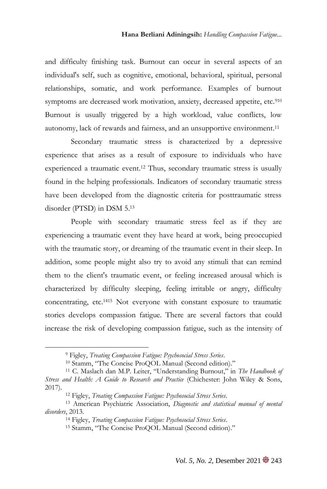and difficulty finishing task. Burnout can occur in several aspects of an individual's self, such as cognitive, emotional, behavioral, spiritual, personal relationships, somatic, and work performance. Examples of burnout symptoms are decreased work motivation, anxiety, decreased appetite, etc.<sup>910</sup> Burnout is usually triggered by a high workload, value conflicts, low autonomy, lack of rewards and fairness, and an unsupportive environment. 11

Secondary traumatic stress is characterized by a depressive experience that arises as a result of exposure to individuals who have experienced a traumatic event. <sup>12</sup> Thus, secondary traumatic stress is usually found in the helping professionals. Indicators of secondary traumatic stress have been developed from the diagnostic criteria for posttraumatic stress disorder (PTSD) in DSM 5. 13

People with secondary traumatic stress feel as if they are experiencing a traumatic event they have heard at work, being preoccupied with the traumatic story, or dreaming of the traumatic event in their sleep. In addition, some people might also try to avoid any stimuli that can remind them to the client's traumatic event, or feeling increased arousal which is characterized by difficulty sleeping, feeling irritable or angry, difficulty concentrating, etc.<sup>1415</sup> Not everyone with constant exposure to traumatic stories develops compassion fatigue. There are several factors that could increase the risk of developing compassion fatigue, such as the intensity of

<sup>9</sup> Figley, *Treating Compassion Fatigue: Psychosocial Stress Series*.

<sup>10</sup> Stamm, "The Concise ProQOL Manual (Second edition)."

<sup>11</sup> C. Maslach dan M.P. Leiter, "Understanding Burnout," in *The Handbook of Stress and Health: A Guide to Research and Practice* (Chichester: John Wiley & Sons, 2017).

<sup>12</sup> Figley, *Treating Compassion Fatigue: Psychosocial Stress Series*.

<sup>13</sup> American Psychiatric Association, *Diagnostic and statistical manual of mental disorders*, 2013.

<sup>14</sup> Figley, *Treating Compassion Fatigue: Psychosocial Stress Series*.

<sup>15</sup> Stamm, "The Concise ProQOL Manual (Second edition)."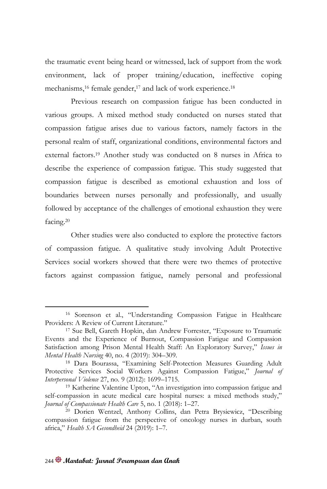the traumatic event being heard or witnessed, lack of support from the work environment, lack of proper training/education, ineffective coping mechanisms, <sup>16</sup> female gender, <sup>17</sup> and lack of work experience. 18

Previous research on compassion fatigue has been conducted in various groups. A mixed method study conducted on nurses stated that compassion fatigue arises due to various factors, namely factors in the personal realm of staff, organizational conditions, environmental factors and external factors. <sup>19</sup> Another study was conducted on 8 nurses in Africa to describe the experience of compassion fatigue. This study suggested that compassion fatigue is described as emotional exhaustion and loss of boundaries between nurses personally and professionally, and usually followed by acceptance of the challenges of emotional exhaustion they were facing. 20

Other studies were also conducted to explore the protective factors of compassion fatigue. A qualitative study involving Adult Protective Services social workers showed that there were two themes of protective factors against compassion fatigue, namely personal and professional

<sup>16</sup> Sorenson et al., "Understanding Compassion Fatigue in Healthcare Providers: A Review of Current Literature."

<sup>17</sup> Sue Bell, Gareth Hopkin, dan Andrew Forrester, "Exposure to Traumatic Events and the Experience of Burnout, Compassion Fatigue and Compassion Satisfaction among Prison Mental Health Staff: An Exploratory Survey," *Issues in Mental Health Nursing* 40, no. 4 (2019): 304–309.

<sup>18</sup> Dara Bourassa, "Examining Self-Protection Measures Guarding Adult Protective Services Social Workers Against Compassion Fatigue," *Journal of Interpersonal Violence* 27, no. 9 (2012): 1699–1715.

<sup>19</sup> Katherine Valentine Upton, "An investigation into compassion fatigue and self-compassion in acute medical care hospital nurses: a mixed methods study," *Journal of Compassionate Health Care* 5, no. 1 (2018): 1–27.

<sup>20</sup> Dorien Wentzel, Anthony Collins, dan Petra Brysiewicz, "Describing compassion fatigue from the perspective of oncology nurses in durban, south africa," *Health SA Gesondheid* 24 (2019): 1–7.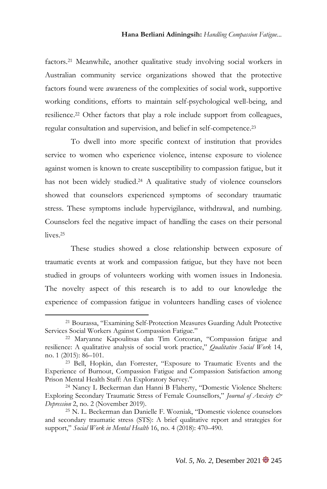factors. <sup>21</sup> Meanwhile, another qualitative study involving social workers in Australian community service organizations showed that the protective factors found were awareness of the complexities of social work, supportive working conditions, efforts to maintain self-psychological well-being, and resilience. <sup>22</sup> Other factors that play a role include support from colleagues, regular consultation and supervision, and belief in self-competence. 23

To dwell into more specific context of institution that provides service to women who experience violence, intense exposure to violence against women is known to create susceptibility to compassion fatigue, but it has not been widely studied. <sup>24</sup> A qualitative study of violence counselors showed that counselors experienced symptoms of secondary traumatic stress. These symptoms include hypervigilance, withdrawal, and numbing. Counselors feel the negative impact of handling the cases on their personal lives. 25

These studies showed a close relationship between exposure of traumatic events at work and compassion fatigue, but they have not been studied in groups of volunteers working with women issues in Indonesia. The novelty aspect of this research is to add to our knowledge the experience of compassion fatigue in volunteers handling cases of violence

<sup>21</sup> Bourassa, "Examining Self-Protection Measures Guarding Adult Protective Services Social Workers Against Compassion Fatigue."

<sup>22</sup> Maryanne Kapoulitsas dan Tim Corcoran, "Compassion fatigue and resilience: A qualitative analysis of social work practice," *Qualitative Social Work* 14, no. 1 (2015): 86–101.

<sup>23</sup> Bell, Hopkin, dan Forrester, "Exposure to Traumatic Events and the Experience of Burnout, Compassion Fatigue and Compassion Satisfaction among Prison Mental Health Staff: An Exploratory Survey."

<sup>24</sup> Nancy L Beckerman dan Hanni B Flaherty, "Domestic Violence Shelters: Exploring Secondary Traumatic Stress of Female Counsellors," *Journal of Anxiety & Depression* 2, no. 2 (November 2019).

<sup>25</sup> N. L. Beckerman dan Danielle F. Wozniak, "Domestic violence counselors and secondary traumatic stress (STS): A brief qualitative report and strategies for support," *Social Work in Mental Health* 16, no. 4 (2018): 470–490.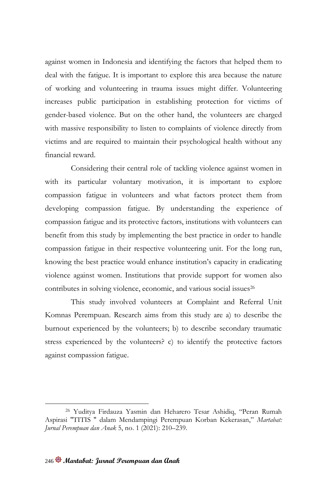against women in Indonesia and identifying the factors that helped them to deal with the fatigue. It is important to explore this area because the nature of working and volunteering in trauma issues might differ. Volunteering increases public participation in establishing protection for victims of gender-based violence. But on the other hand, the volunteers are charged with massive responsibility to listen to complaints of violence directly from victims and are required to maintain their psychological health without any financial reward.

Considering their central role of tackling violence against women in with its particular voluntary motivation, it is important to explore compassion fatigue in volunteers and what factors protect them from developing compassion fatigue. By understanding the experience of compassion fatigue and its protective factors, institutions with volunteers can benefit from this study by implementing the best practice in order to handle compassion fatigue in their respective volunteering unit. For the long run, knowing the best practice would enhance institution's capacity in eradicating violence against women. Institutions that provide support for women also contributes in solving violence, economic, and various social issues<sup>26</sup>

This study involved volunteers at Complaint and Referral Unit Komnas Perempuan. Research aims from this study are a) to describe the burnout experienced by the volunteers; b) to describe secondary traumatic stress experienced by the volunteers? c) to identify the protective factors against compassion fatigue.

<sup>26</sup> Yuditya Firdauza Yasmin dan Heharero Tesar Ashidiq, "Peran Rumah Aspirasi "TITIS " dalam Mendampingi Perempuan Korban Kekerasan," *Martabat: Jurnal Perempuan dan Anak* 5, no. 1 (2021): 210–239.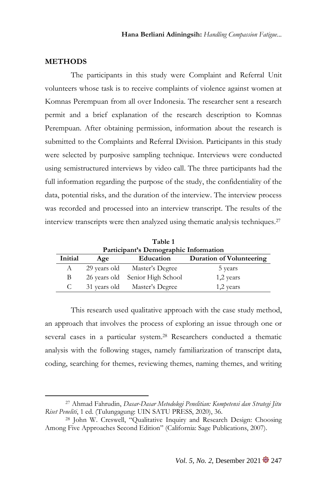## **METHODS**

The participants in this study were Complaint and Referral Unit volunteers whose task is to receive complaints of violence against women at Komnas Perempuan from all over Indonesia. The researcher sent a research permit and a brief explanation of the research description to Komnas Perempuan. After obtaining permission, information about the research is submitted to the Complaints and Referral Division. Participants in this study were selected by purposive sampling technique. Interviews were conducted using semistructured interviews by video call. The three participants had the full information regarding the purpose of the study, the confidentiality of the data, potential risks, and the duration of the interview. The interview process was recorded and processed into an interview transcript. The results of the interview transcripts were then analyzed using thematic analysis techniques.<sup>27</sup>

| 1 able 1<br>Participant's Demographic Information       |  |                                 |           |  |  |  |  |  |
|---------------------------------------------------------|--|---------------------------------|-----------|--|--|--|--|--|
| Initial<br>Education<br>Duration of Volunteering<br>Age |  |                                 |           |  |  |  |  |  |
| А                                                       |  | 29 years old Master's Degree    | 5 years   |  |  |  |  |  |
| В                                                       |  | 26 years old Senior High School | 1,2 years |  |  |  |  |  |
| C                                                       |  | 31 years old Master's Degree    | 1,2 years |  |  |  |  |  |

**Table 1** 

This research used qualitative approach with the case study method, an approach that involves the process of exploring an issue through one or several cases in a particular system. <sup>28</sup> Researchers conducted a thematic analysis with the following stages, namely familiarization of transcript data, coding, searching for themes, reviewing themes, naming themes, and writing

<sup>27</sup> Ahmad Fahrudin, *Dasar-Dasar Metodologi Penelitian: Kompetensi dan Strategi Jitu Riset Peneliti*, 1 ed. (Tulungagung: UIN SATU PRESS, 2020), 36.

<sup>28</sup> John W. Creswell, "Qualitative Inquiry and Research Design: Choosing Among Five Approaches Second Edition" (California: Sage Publications, 2007).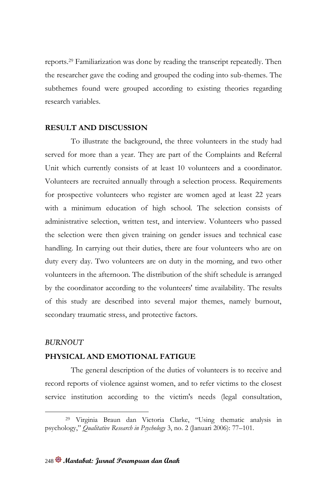reports. <sup>29</sup> Familiarization was done by reading the transcript repeatedly. Then the researcher gave the coding and grouped the coding into sub-themes. The subthemes found were grouped according to existing theories regarding research variables.

## **RESULT AND DISCUSSION**

To illustrate the background, the three volunteers in the study had served for more than a year. They are part of the Complaints and Referral Unit which currently consists of at least 10 volunteers and a coordinator. Volunteers are recruited annually through a selection process. Requirements for prospective volunteers who register are women aged at least 22 years with a minimum education of high school. The selection consists of administrative selection, written test, and interview. Volunteers who passed the selection were then given training on gender issues and technical case handling. In carrying out their duties, there are four volunteers who are on duty every day. Two volunteers are on duty in the morning, and two other volunteers in the afternoon. The distribution of the shift schedule is arranged by the coordinator according to the volunteers' time availability. The results of this study are described into several major themes, namely burnout, secondary traumatic stress, and protective factors.

## *BURNOUT*

## **PHYSICAL AND EMOTIONAL FATIGUE**

The general description of the duties of volunteers is to receive and record reports of violence against women, and to refer victims to the closest service institution according to the victim's needs (legal consultation,

<sup>29</sup> Virginia Braun dan Victoria Clarke, "Using thematic analysis in psychology," *Qualitative Research in Psychology* 3, no. 2 (Januari 2006): 77–101.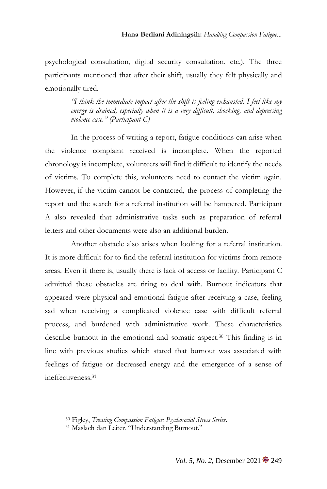psychological consultation, digital security consultation, etc.). The three participants mentioned that after their shift, usually they felt physically and emotionally tired.

> *"I think the immediate impact after the shift is feeling exhausted. I feel like my energy is drained, especially when it is a very difficult, shocking, and depressing violence case." (Participant C)*

In the process of writing a report, fatigue conditions can arise when the violence complaint received is incomplete. When the reported chronology is incomplete, volunteers will find it difficult to identify the needs of victims. To complete this, volunteers need to contact the victim again. However, if the victim cannot be contacted, the process of completing the report and the search for a referral institution will be hampered. Participant A also revealed that administrative tasks such as preparation of referral letters and other documents were also an additional burden.

Another obstacle also arises when looking for a referral institution. It is more difficult for to find the referral institution for victims from remote areas. Even if there is, usually there is lack of access or facility. Participant C admitted these obstacles are tiring to deal with. Burnout indicators that appeared were physical and emotional fatigue after receiving a case, feeling sad when receiving a complicated violence case with difficult referral process, and burdened with administrative work. These characteristics describe burnout in the emotional and somatic aspect.<sup>30</sup> This finding is in line with previous studies which stated that burnout was associated with feelings of fatigue or decreased energy and the emergence of a sense of ineffectiveness.<sup>31</sup>

<sup>30</sup> Figley, *Treating Compassion Fatigue: Psychosocial Stress Series*.

<sup>31</sup> Maslach dan Leiter, "Understanding Burnout."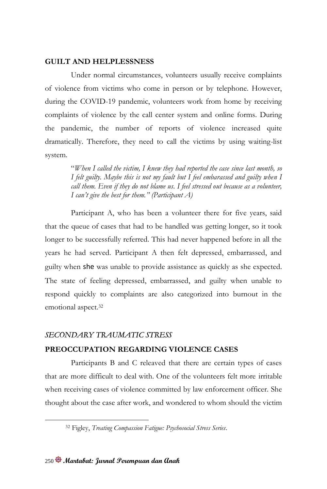## **GUILT AND HELPLESSNESS**

Under normal circumstances, volunteers usually receive complaints of violence from victims who come in person or by telephone. However, during the COVID-19 pandemic, volunteers work from home by receiving complaints of violence by the call center system and online forms. During the pandemic, the number of reports of violence increased quite dramatically. Therefore, they need to call the victims by using waiting-list system.

> "*When I called the victim, I knew they had reported the case since last month, so I felt guilty. Maybe this is not my fault but I feel embarassed and guilty when I call them. Even if they do not blame us. I feel stressed out because as a volunteer, I can't give the best for them." (Participant A)*

Participant A, who has been a volunteer there for five years, said that the queue of cases that had to be handled was getting longer, so it took longer to be successfully referred. This had never happened before in all the years he had served. Participant A then felt depressed, embarrassed, and guilty when she was unable to provide assistance as quickly as she expected. The state of feeling depressed, embarrassed, and guilty when unable to respond quickly to complaints are also categorized into burnout in the emotional aspect.<sup>32</sup>

## *SECONDARY TRAUMATIC STRESS*

## **PREOCCUPATION REGARDING VIOLENCE CASES**

Participants B and C releaved that there are certain types of cases that are more difficult to deal with. One of the volunteers felt more irritable when receiving cases of violence committed by law enforcement officer. She thought about the case after work, and wondered to whom should the victim

<sup>32</sup> Figley, *Treating Compassion Fatigue: Psychosocial Stress Series*.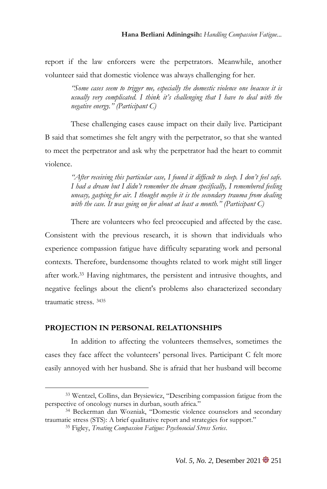report if the law enforcers were the perpetrators. Meanwhile, another volunteer said that domestic violence was always challenging for her.

> *"Some cases seem to trigger me, especially the domestic violence one beacuse it is usually very complicated. I think it's challenging that I have to deal with the negative energy." (Participant C)*

These challenging cases cause impact on their daily live. Participant B said that sometimes she felt angry with the perpetrator, so that she wanted to meet the perpetrator and ask why the perpetrator had the heart to commit violence.

> *"After receiving this particular case, I found it difficult to sleep. I don't feel safe. I had a dream but I didn't remember the dream specifically, I remembered feeling uneasy, gasping for air. I thought maybe it is the secondary trauma from dealing with the case. It was going on for about at least a month." (Participant C)*

There are volunteers who feel preoccupied and affected by the case. Consistent with the previous research, it is shown that individuals who experience compassion fatigue have difficulty separating work and personal contexts. Therefore, burdensome thoughts related to work might still linger after work.<sup>33</sup> Having nightmares, the persistent and intrusive thoughts, and negative feelings about the client's problems also characterized secondary traumatic stress. <sup>3435</sup>

## **PROJECTION IN PERSONAL RELATIONSHIPS**

In addition to affecting the volunteers themselves, sometimes the cases they face affect the volunteers' personal lives. Participant C felt more easily annoyed with her husband. She is afraid that her husband will become

<sup>33</sup> Wentzel, Collins, dan Brysiewicz, "Describing compassion fatigue from the perspective of oncology nurses in durban, south africa."

<sup>34</sup> Beckerman dan Wozniak, "Domestic violence counselors and secondary traumatic stress (STS): A brief qualitative report and strategies for support."

<sup>35</sup> Figley, *Treating Compassion Fatigue: Psychosocial Stress Series*.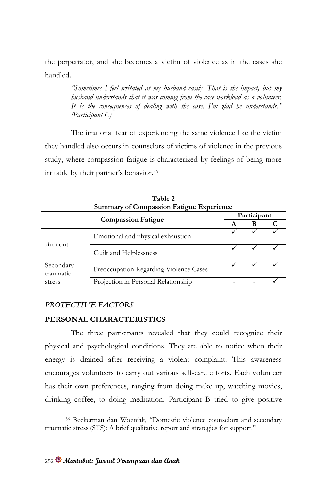the perpetrator, and she becomes a victim of violence as in the cases she handled.

> *"Sometimes I feel irritated at my husband easily. That is the impact, but my husband understands that it was coming from the case workload as a volunteer. It is the consequences of dealing with the case. I'm glad he understands." (Participant C)*

The irrational fear of experiencing the same violence like the victim they handled also occurs in counselors of victims of violence in the previous study, where compassion fatigue is characterized by feelings of being more irritable by their partner's behavior.<sup>36</sup>

| Table 2<br><b>Summary of Compassion Fatigue Experience</b> |                                        |  |             |  |  |  |  |  |
|------------------------------------------------------------|----------------------------------------|--|-------------|--|--|--|--|--|
|                                                            | <b>Compassion Fatigue</b>              |  | Participant |  |  |  |  |  |
|                                                            |                                        |  | В           |  |  |  |  |  |
|                                                            | Emotional and physical exhaustion      |  |             |  |  |  |  |  |
| Burnout                                                    | Guilt and Helplessness                 |  |             |  |  |  |  |  |
| Secondary<br>traumatic                                     | Preoccupation Regarding Violence Cases |  |             |  |  |  |  |  |
| stress                                                     | Projection in Personal Relationship    |  |             |  |  |  |  |  |

## *PROTECTIVE FACTORS*

## **PERSONAL CHARACTERISTICS**

The three participants revealed that they could recognize their physical and psychological conditions. They are able to notice when their energy is drained after receiving a violent complaint. This awareness encourages volunteers to carry out various self-care efforts. Each volunteer has their own preferences, ranging from doing make up, watching movies, drinking coffee, to doing meditation. Participant B tried to give positive

<sup>36</sup> Beckerman dan Wozniak, "Domestic violence counselors and secondary traumatic stress (STS): A brief qualitative report and strategies for support."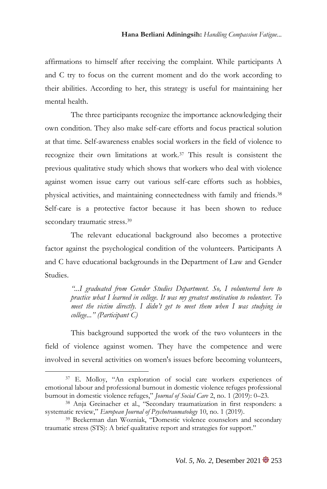affirmations to himself after receiving the complaint. While participants A and C try to focus on the current moment and do the work according to their abilities. According to her, this strategy is useful for maintaining her mental health.

The three participants recognize the importance acknowledging their own condition. They also make self-care efforts and focus practical solution at that time. Self-awareness enables social workers in the field of violence to recognize their own limitations at work.<sup>37</sup> This result is consistent the previous qualitative study which shows that workers who deal with violence against women issue carry out various self-care efforts such as hobbies, physical activities, and maintaining connectedness with family and friends.<sup>38</sup> Self-care is a protective factor because it has been shown to reduce secondary traumatic stress.<sup>39</sup>

The relevant educational background also becomes a protective factor against the psychological condition of the volunteers. Participants A and C have educational backgrounds in the Department of Law and Gender Studies.

> *"...I graduated from Gender Studies Department. So, I volunteered here to practice what I learned in college. It was my greatest motivation to volunteer. To meet the victim directly. I didn't get to meet them when I was studying in college..." (Participant C)*

This background supported the work of the two volunteers in the field of violence against women. They have the competence and were involved in several activities on women's issues before becoming volunteers,

<sup>37</sup> E. Molloy, "An exploration of social care workers experiences of emotional labour and professional burnout in domestic violence refuges professional burnout in domestic violence refuges," *Journal of Social Care* 2, no. 1 (2019): 0–23.

<sup>38</sup> Anja Greinacher et al., "Secondary traumatization in first responders: a systematic review," *European Journal of Psychotraumatology* 10, no. 1 (2019).

<sup>39</sup> Beckerman dan Wozniak, "Domestic violence counselors and secondary traumatic stress (STS): A brief qualitative report and strategies for support."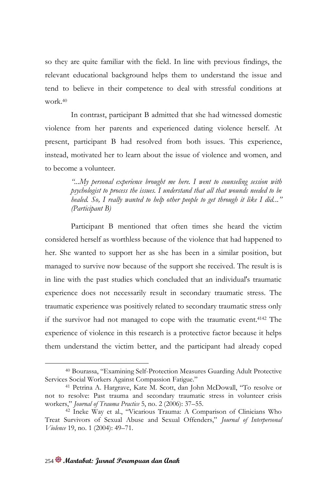so they are quite familiar with the field. In line with previous findings, the relevant educational background helps them to understand the issue and tend to believe in their competence to deal with stressful conditions at work  $40$ 

In contrast, participant B admitted that she had witnessed domestic violence from her parents and experienced dating violence herself. At present, participant B had resolved from both issues. This experience, instead, motivated her to learn about the issue of violence and women, and to become a volunteer.

> *"...My personal experience brought me here. I went to counseling session with psychologist to process the issues. I understand that all that wounds needed to be healed. So, I really wanted to help other people to get through it like I did..." (Participant B)*

Participant B mentioned that often times she heard the victim considered herself as worthless because of the violence that had happened to her. She wanted to support her as she has been in a similar position, but managed to survive now because of the support she received. The result is is in line with the past studies which concluded that an individual's traumatic experience does not necessarily result in secondary traumatic stress. The traumatic experience was positively related to secondary traumatic stress only if the survivor had not managed to cope with the traumatic event.<sup>4142</sup> The experience of violence in this research is a protective factor because it helps them understand the victim better, and the participant had already coped

<sup>40</sup> Bourassa, "Examining Self-Protection Measures Guarding Adult Protective Services Social Workers Against Compassion Fatigue."

<sup>41</sup> Petrina A. Hargrave, Kate M. Scott, dan John McDowall, "To resolve or not to resolve: Past trauma and secondary traumatic stress in volunteer crisis workers," *Journal of Trauma Practice* 5, no. 2 (2006): 37–55.

<sup>42</sup> Ineke Way et al., "Vicarious Trauma: A Comparison of Clinicians Who Treat Survivors of Sexual Abuse and Sexual Offenders," *Journal of Interpersonal Violence* 19, no. 1 (2004): 49–71.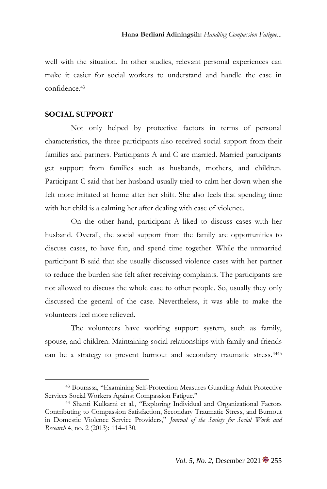well with the situation. In other studies, relevant personal experiences can make it easier for social workers to understand and handle the case in confidence.<sup>43</sup>

## **SOCIAL SUPPORT**

Not only helped by protective factors in terms of personal characteristics, the three participants also received social support from their families and partners. Participants A and C are married. Married participants get support from families such as husbands, mothers, and children. Participant C said that her husband usually tried to calm her down when she felt more irritated at home after her shift. She also feels that spending time with her child is a calming her after dealing with case of violence.

On the other hand, participant A liked to discuss cases with her husband. Overall, the social support from the family are opportunities to discuss cases, to have fun, and spend time together. While the unmarried participant B said that she usually discussed violence cases with her partner to reduce the burden she felt after receiving complaints. The participants are not allowed to discuss the whole case to other people. So, usually they only discussed the general of the case. Nevertheless, it was able to make the volunteers feel more relieved.

The volunteers have working support system, such as family, spouse, and children. Maintaining social relationships with family and friends can be a strategy to prevent burnout and secondary traumatic stress.<sup>4445</sup>

<sup>43</sup> Bourassa, "Examining Self-Protection Measures Guarding Adult Protective Services Social Workers Against Compassion Fatigue."

<sup>44</sup> Shanti Kulkarni et al., "Exploring Individual and Organizational Factors Contributing to Compassion Satisfaction, Secondary Traumatic Stress, and Burnout in Domestic Violence Service Providers," *Journal of the Society for Social Work and Research* 4, no. 2 (2013): 114–130.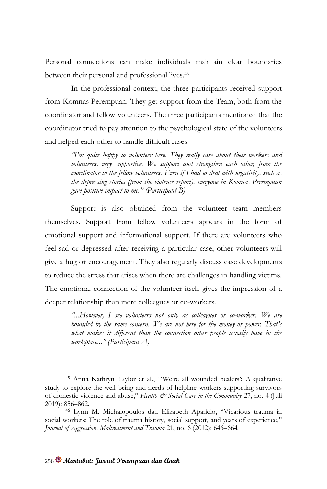Personal connections can make individuals maintain clear boundaries between their personal and professional lives.<sup>46</sup>

In the professional context, the three participants received support from Komnas Perempuan. They get support from the Team, both from the coordinator and fellow volunteers. The three participants mentioned that the coordinator tried to pay attention to the psychological state of the volunteers and helped each other to handle difficult cases.

> *"I'm quite happy to volunteer here. They really care about their workers and volunteers, very supportive. We support and strengthen each other, from the coordinator to the fellow volunteers. Even if I had to deal with negativity, such as the depressing stories (from the violence report), everyone in Komnas Perempuan gave positive impact to me." (Participant B)*

Support is also obtained from the volunteer team members themselves. Support from fellow volunteers appears in the form of emotional support and informational support. If there are volunteers who feel sad or depressed after receiving a particular case, other volunteers will give a hug or encouragement. They also regularly discuss case developments to reduce the stress that arises when there are challenges in handling victims. The emotional connection of the volunteer itself gives the impression of a deeper relationship than mere colleagues or co-workers.

> *"...However, I see volunteers not only as colleagues or co-worker. We are bounded by the same concern. We are not here for the money or power. That's*  what makes it different than the connection other people usually have in the *workplace..." (Participant A)*

<sup>45</sup> Anna Kathryn Taylor et al., "'We're all wounded healers': A qualitative study to explore the well‐being and needs of helpline workers supporting survivors of domestic violence and abuse," *Health & Social Care in the Community* 27, no. 4 (Juli 2019): 856–862.

<sup>46</sup> Lynn M. Michalopoulos dan Elizabeth Aparicio, "Vicarious trauma in social workers: The role of trauma history, social support, and years of experience," *Journal of Aggression, Maltreatment and Trauma* 21, no. 6 (2012): 646–664.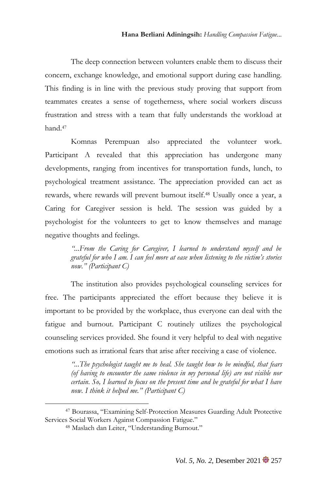The deep connection between volunters enable them to discuss their concern, exchange knowledge, and emotional support during case handling. This finding is in line with the previous study proving that support from teammates creates a sense of togetherness, where social workers discuss frustration and stress with a team that fully understands the workload at hand.<sup>47</sup>

Komnas Perempuan also appreciated the volunteer work. Participant A revealed that this appreciation has undergone many developments, ranging from incentives for transportation funds, lunch, to psychological treatment assistance. The appreciation provided can act as rewards, where rewards will prevent burnout itself.<sup>48</sup> Usually once a year, a Caring for Caregiver session is held. The session was guided by a psychologist for the volunteers to get to know themselves and manage negative thoughts and feelings.

> *"...From the Caring for Caregiver, I learned to understand myself and be grateful for who I am. I can feel more at ease when listening to the victim's stories now." (Participant C)*

The institution also provides psychological counseling services for free. The participants appreciated the effort because they believe it is important to be provided by the workplace, thus everyone can deal with the fatigue and burnout. Participant C routinely utilizes the psychological counseling services provided. She found it very helpful to deal with negative emotions such as irrational fears that arise after receiving a case of violence.

> *"...The psychologist taught me to heal. She taught how to be mindful, that fears (of having to encounter the same violence in my personal life) are not visible nor certain. So, I learned to focus on the present time and be grateful for what I have now. I think it helped me." (Participant C)*

<sup>47</sup> Bourassa, "Examining Self-Protection Measures Guarding Adult Protective Services Social Workers Against Compassion Fatigue."

<sup>48</sup> Maslach dan Leiter, "Understanding Burnout."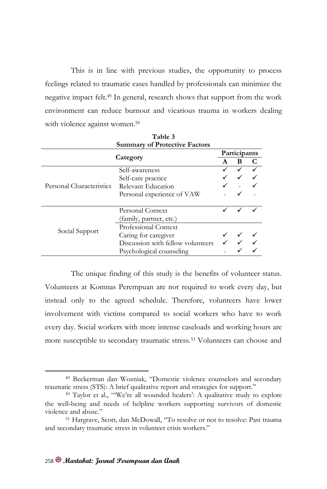This is in line with previous studies, the opportunity to process feelings related to traumatic cases handled by professionals can minimize the negative impact felt.<sup>49</sup> In general, research shows that support from the work environment can reduce burnout and vicarious trauma in workers dealing with violence against women.<sup>50</sup>

|                          | <b>Summary of Protective Factors</b> |              |   |  |
|--------------------------|--------------------------------------|--------------|---|--|
| Category                 |                                      | Participants |   |  |
|                          |                                      | A            | в |  |
|                          | Self-awareness                       |              |   |  |
|                          | Self-care practice                   |              |   |  |
| Personal Characteristics | Relevant Education                   |              |   |  |
|                          | Personal experience of VAW           |              |   |  |
|                          |                                      |              |   |  |
|                          | Personal Context                     |              |   |  |
|                          | (family, partner, etc.)              |              |   |  |
|                          | Professional Context                 |              |   |  |
| Social Support           | Caring for caregiver                 |              |   |  |
|                          | Discussion with fellow volunteers    |              |   |  |
|                          | Psychological counseling             |              |   |  |

**Table 3**

The unique finding of this study is the benefits of volunteer status. Volunteers at Komnas Perempuan are not required to work every day, but instead only to the agreed schedule. Therefore, volunteers have lower involvement with victims compared to social workers who have to work every day. Social workers with more intense caseloads and working hours are more susceptible to secondary traumatic stress.<sup>51</sup> Volunteers can choose and

<sup>49</sup> Beckerman dan Wozniak, "Domestic violence counselors and secondary traumatic stress (STS): A brief qualitative report and strategies for support."

<sup>50</sup> Taylor et al., "'We're all wounded healers': A qualitative study to explore the well‐being and needs of helpline workers supporting survivors of domestic violence and abuse."

<sup>51</sup> Hargrave, Scott, dan McDowall, "To resolve or not to resolve: Past trauma and secondary traumatic stress in volunteer crisis workers."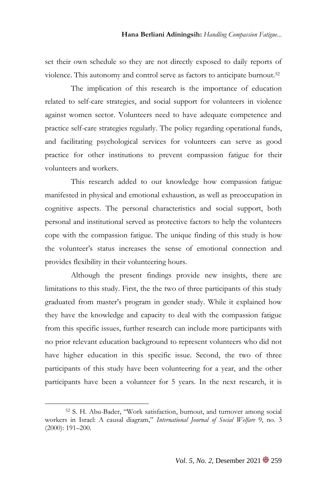set their own schedule so they are not directly exposed to daily reports of violence. This autonomy and control serve as factors to anticipate burnout.<sup>52</sup>

The implication of this research is the importance of education related to self-care strategies, and social support for volunteers in violence against women sector. Volunteers need to have adequate competence and practice self-care strategies regularly. The policy regarding operational funds, and facilitating psychological services for volunteers can serve as good practice for other institutions to prevent compassion fatigue for their volunteers and workers.

This research added to our knowledge how compassion fatigue manifested in physical and emotional exhaustion, as well as preoccupation in cognitive aspects. The personal characteristics and social support, both personal and institutional served as protective factors to help the volunteers cope with the compassion fatigue. The unique finding of this study is how the volunteer's status increases the sense of emotional connection and provides flexibility in their volunteering hours.

Although the present findings provide new insights, there are limitations to this study. First, the the two of three participants of this study graduated from master's program in gender study. While it explained how they have the knowledge and capacity to deal with the compassion fatigue from this specific issues, further research can include more participants with no prior relevant education background to represent volunteers who did not have higher education in this specific issue. Second, the two of three participants of this study have been volunteering for a year, and the other participants have been a volunteer for 5 years. In the next research, it is

<sup>52</sup> S. H. Abu-Bader, "Work satisfaction, burnout, and turnover among social workers in Israel: A causal diagram," *International Journal of Social Welfare* 9, no. 3 (2000): 191–200.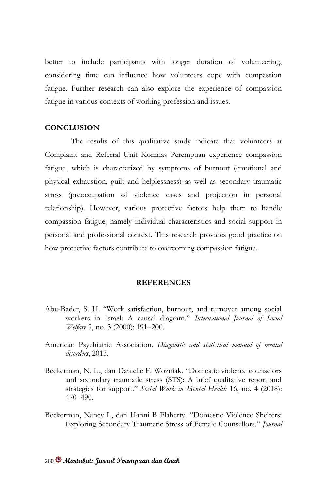better to include participants with longer duration of volunteering, considering time can influence how volunteers cope with compassion fatigue. Further research can also explore the experience of compassion fatigue in various contexts of working profession and issues.

## **CONCLUSION**

The results of this qualitative study indicate that volunteers at Complaint and Referral Unit Komnas Perempuan experience compassion fatigue, which is characterized by symptoms of burnout (emotional and physical exhaustion, guilt and helplessness) as well as secondary traumatic stress (preoccupation of violence cases and projection in personal relationship). However, various protective factors help them to handle compassion fatigue, namely individual characteristics and social support in personal and professional context. This research provides good practice on how protective factors contribute to overcoming compassion fatigue.

## **REFERENCES**

- Abu-Bader, S. H. "Work satisfaction, burnout, and turnover among social workers in Israel: A causal diagram." *International Journal of Social Welfare* 9, no. 3 (2000): 191–200.
- American Psychiatric Association. *Diagnostic and statistical manual of mental disorders*, 2013.
- Beckerman, N. L., dan Danielle F. Wozniak. "Domestic violence counselors and secondary traumatic stress (STS): A brief qualitative report and strategies for support." *Social Work in Mental Health* 16, no. 4 (2018): 470–490.
- Beckerman, Nancy L, dan Hanni B Flaherty. "Domestic Violence Shelters: Exploring Secondary Traumatic Stress of Female Counsellors." *Journal*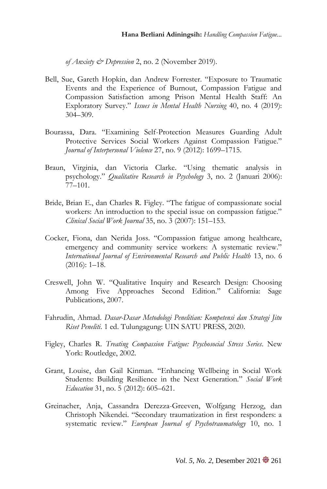*of Anxiety & Depression* 2, no. 2 (November 2019).

- Bell, Sue, Gareth Hopkin, dan Andrew Forrester. "Exposure to Traumatic Events and the Experience of Burnout, Compassion Fatigue and Compassion Satisfaction among Prison Mental Health Staff: An Exploratory Survey." *Issues in Mental Health Nursing* 40, no. 4 (2019): 304–309.
- Bourassa, Dara. "Examining Self-Protection Measures Guarding Adult Protective Services Social Workers Against Compassion Fatigue." *Journal of Interpersonal Violence* 27, no. 9 (2012): 1699–1715.
- Braun, Virginia, dan Victoria Clarke. "Using thematic analysis in psychology." *Qualitative Research in Psychology* 3, no. 2 (Januari 2006): 77–101.
- Bride, Brian E., dan Charles R. Figley. "The fatigue of compassionate social workers: An introduction to the special issue on compassion fatigue." *Clinical Social Work Journal* 35, no. 3 (2007): 151–153.
- Cocker, Fiona, dan Nerida Joss. "Compassion fatigue among healthcare, emergency and community service workers: A systematic review." *International Journal of Environmental Research and Public Health* 13, no. 6 (2016): 1–18.
- Creswell, John W. "Qualitative Inquiry and Research Design: Choosing Among Five Approaches Second Edition." California: Sage Publications, 2007.
- Fahrudin, Ahmad. *Dasar-Dasar Metodologi Penelitian: Kompetensi dan Strategi Jitu Riset Peneliti*. 1 ed. Tulungagung: UIN SATU PRESS, 2020.
- Figley, Charles R. *Treating Compassion Fatigue: Psychosocial Stress Series*. New York: Routledge, 2002.
- Grant, Louise, dan Gail Kinman. "Enhancing Wellbeing in Social Work Students: Building Resilience in the Next Generation." *Social Work Education* 31, no. 5 (2012): 605–621.
- Greinacher, Anja, Cassandra Derezza-Greeven, Wolfgang Herzog, dan Christoph Nikendei. "Secondary traumatization in first responders: a systematic review." *European Journal of Psychotraumatology* 10, no. 1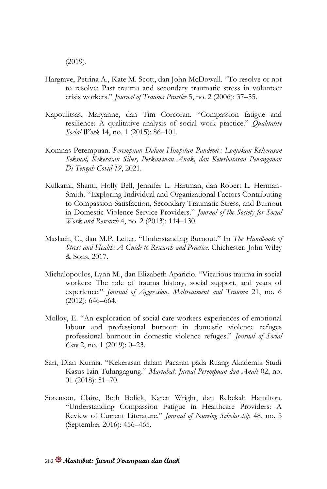(2019).

- Hargrave, Petrina A., Kate M. Scott, dan John McDowall. "To resolve or not to resolve: Past trauma and secondary traumatic stress in volunteer crisis workers." *Journal of Trauma Practice* 5, no. 2 (2006): 37–55.
- Kapoulitsas, Maryanne, dan Tim Corcoran. "Compassion fatigue and resilience: A qualitative analysis of social work practice." *Qualitative Social Work* 14, no. 1 (2015): 86–101.
- Komnas Perempuan. *Perempuan Dalam Himpitan Pandemi : Lonjakan Kekerasan Seksual, Kekerasan Siber, Perkawinan Anak, dan Keterbatasan Penanganan Di Tengah Covid-19*, 2021.
- Kulkarni, Shanti, Holly Bell, Jennifer L. Hartman, dan Robert L. Herman-Smith. "Exploring Individual and Organizational Factors Contributing to Compassion Satisfaction, Secondary Traumatic Stress, and Burnout in Domestic Violence Service Providers." *Journal of the Society for Social Work and Research* 4, no. 2 (2013): 114–130.
- Maslach, C., dan M.P. Leiter. "Understanding Burnout." In *The Handbook of Stress and Health: A Guide to Research and Practice*. Chichester: John Wiley & Sons, 2017.
- Michalopoulos, Lynn M., dan Elizabeth Aparicio. "Vicarious trauma in social workers: The role of trauma history, social support, and years of experience." *Journal of Aggression, Maltreatment and Trauma* 21, no. 6 (2012): 646–664.
- Molloy, E. "An exploration of social care workers experiences of emotional labour and professional burnout in domestic violence refuges professional burnout in domestic violence refuges." *Journal of Social Care* 2, no. 1 (2019): 0–23.
- Sari, Dian Kurnia. "Kekerasan dalam Pacaran pada Ruang Akademik Studi Kasus Iain Tulungagung." *Martabat: Jurnal Perempuan dan Anak* 02, no. 01 (2018): 51–70.
- Sorenson, Claire, Beth Bolick, Karen Wright, dan Rebekah Hamilton. "Understanding Compassion Fatigue in Healthcare Providers: A Review of Current Literature." *Journal of Nursing Scholarship* 48, no. 5 (September 2016): 456–465.